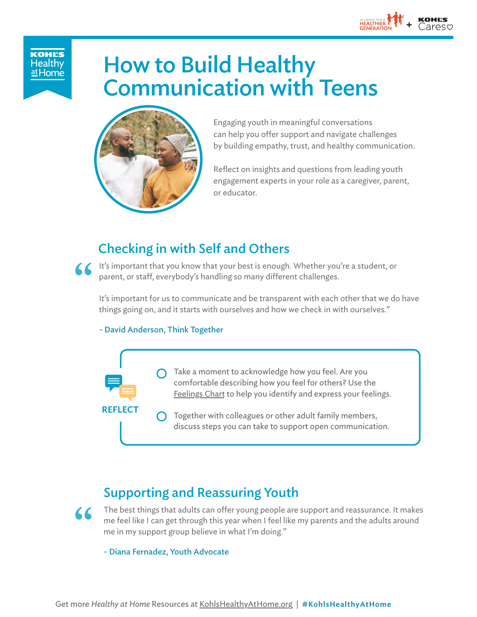

**KOHL'S Healthy** <u>at Home</u>

# How to Build Healthy Communication with Teens



Engaging youth in meaningful conversations can help you offer support and navigate challenges by building empathy, trust, and healthy communication.

Reflect on insights and questions from leading youth engagement experts in your role as a caregiver, parent, or educator.

# Checking in with Self and Others

It's important that you know that your best is enough. Whether you're a student, or parent, or staff, everybody's handling so many different challenges.<br>It's important for us to communicate and be transparent with each oth parent, or staff, everybody's handling so many different challenges.

It's important for us to communicate and be transparent with each other that we do have things going on, and it starts with ourselves and how we check in with ourselves."

#### - David Anderson, Think Together



## Supporting and Reassuring Youth

The best things that adults can offer young people are support and reassurance. It makes me feel like I can get through this year when I feel like my parents and the adults around me in my support group believe in what I'm doing."

#### - Diana Fernadez, Youth Advocate